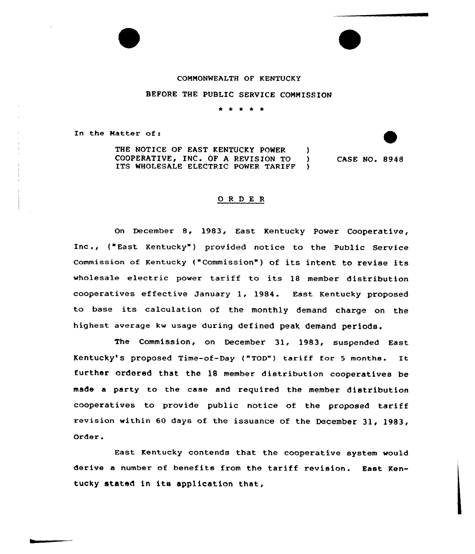## COMMONWEALTH OF KENTUCKY

## BEFORE THE PUBLIC SERVICE COMMISSION

\* \* \* \*

In the Matter of:

THE NOTICE OF EAST KENTUCKY POWER  $\mathcal{L}$ COOPERATIVE, INC. OF A REVISION TO )<br>ITS WHOLESALE ELECTRIC POWER TARIFF ITS WHOLESALE ELECTRIC POWER TARIFF

CASE NO. 8948

## 0 <sup>R</sup> <sup>D</sup> E <sup>R</sup>

On December 8, 1983, East Kentucky Power Cooperative, Inc., { East Kentucky" ) provided notice to the Public Service commission of Kentucky ("commission" ) of its intent to revise its wholesale electric power tariff to its 18 member distribution cooperatives effective January 1, 1984. East Kentucky proposed to base its calculation of the monthly demand charge on the highest average kw usage during defined peak demand periods.

The Commission, on December 31, 1983, suspended East Kentucky's proposed Time-of-Day ("TOD") tariff for 5 months. It further ordered that the 18 member distribution cooperatives be made a party to the case and required the member distribution cooperatives to provide public notice of the proposed tariff revision within 60 days of the issuance of the December  $31.1983.$ Order.

East Kentucky contends that the cooperative system would derive a number of benefits from the tariff revision. East Kentucky stated in its application that,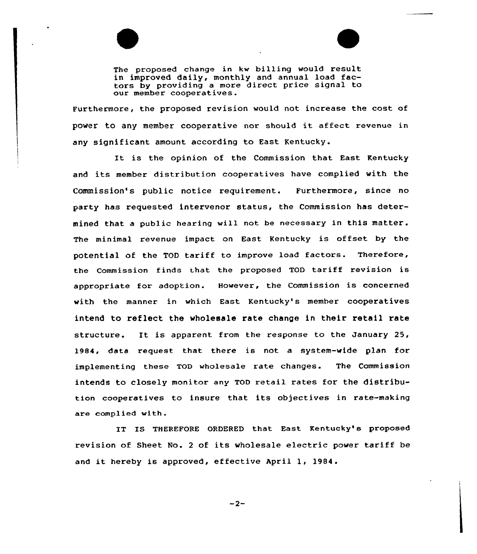

The proposed change in kw billing would result in improved daily, monthly and annual load factors by providing a more direct price signal to our member cooperatives.

Furthermore, the proposed revision would not increase the cost of power to any member cooperative nor should it affect revenue in any significant amount according to East Kentucky.

It is the opinion of the Commission that East Kentucky and its member distribution cooperatives have complied with the Commission's public notice requirement. Furthermore, since no party has requested intervenor status, the Commission has determined that a public hearing will not be necessary in this matter. The minimal revenue impact on East Kentucky is offset by the potential of the TOD tariff to improve load factors. Therefore, the Commission finds that the proposed TOD tariff revision is appropriate for adoption. However, the Commission is concerned with the manner in which East Kentucky's member cooperatives intend to reflect the wholesale rate change in their retail rate structure. It is apparent from the response to the January 25, 1984, data request that there is not a system-wide plan for implementing these TOD wholesale rate changes. The Commission intends to closely monitor any TQD retail rates for the distribution cooperatives to insure that its objectives in rate-making are complied with.

IT IS THEREFORE ORDERED that East Kentucky's proposed revision of Sheet No. <sup>2</sup> of its wholesale electric power tariff be and it hereby is approved, effective April 1, 1984.

 $-2-$